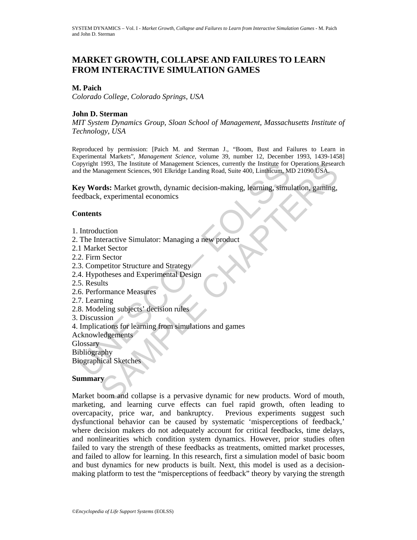# **MARKET GROWTH, COLLAPSE AND FAILURES TO LEARN FROM INTERACTIVE SIMULATION GAMES**

## **M. Paich**

*Colorado College*, *Colorado Springs*, *USA*

## **John D. Sterman**

*MIT System Dynamics Group*, *Sloan School of Management*, *Massachusetts Institute of Technology*, *USA*

Reproduced by permission: [Paich M. and Sterman J., "Boom, Bust and Failures to Learn in Experimental Markets", *Management Science*, volume 39, number 12, December 1993, 1439-1458] Copyright 1993, The Institute of Management Sciences, currently the Institute for Operations Research and the Management Sciences, 901 Elkridge Landing Road, Suite 400, Linthicum, MD 21090 USA.

For 1993, The Institute of Management Sciences, currently the Institute for the Management Sciences, 901 Elkridge Landing Road, Suite 400, Linkhicum, Merry Words: Market growth, dynamic decision-making, learning, simulated 1993, The Institute of Management Sciences, currently the Institute for Operations Research<br>anagement Sciences, 901 Elkridge Landing Road, Suite 400, Lindhcum, MD 21090 USA.<br> **rds:** Market growth, dynamic decision-making, **Key Words:** Market growth, dynamic decision-making, learning, simulation, gaming, feedback, experimental economics

## **Contents**

- 1. Introduction
- 2. The Interactive Simulator: Managing a new product
- 2.1 Market Sector
- 2.2. Firm Sector
- 2.3. Competitor Structure and Strategy
- 2.4. Hypotheses and Experimental Design
- 2.5. Results
- 2.6. Performance Measures
- 2.7. Learning
- 2.8. Modeling subjects' decision rules
- 3. Discussion
- 4. Implications for learning from simulations and games
- Acknowledgements

Glossary

Bibliography

Biographical Sketches

### **Summary**

Market boom and collapse is a pervasive dynamic for new products. Word of mouth, marketing, and learning curve effects can fuel rapid growth, often leading to overcapacity, price war, and bankruptcy. Previous experiments suggest such dysfunctional behavior can be caused by systematic 'misperceptions of feedback,' where decision makers do not adequately account for critical feedbacks, time delays, and nonlinearities which condition system dynamics. However, prior studies often failed to vary the strength of these feedbacks as treatments, omitted market processes, and failed to allow for learning. In this research, first a simulation model of basic boom and bust dynamics for new products is built. Next, this model is used as a decisionmaking platform to test the "misperceptions of feedback" theory by varying the strength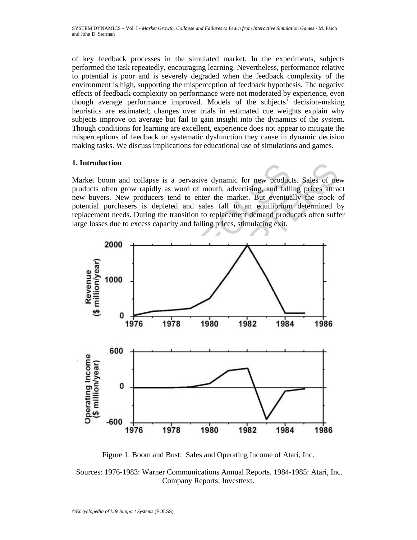of key feedback processes in the simulated market. In the experiments, subjects performed the task repeatedly, encouraging learning. Nevertheless, performance relative to potential is poor and is severely degraded when the feedback complexity of the environment is high, supporting the misperception of feedback hypothesis. The negative effects of feedback complexity on performance were not moderated by experience, even though average performance improved. Models of the subjects' decision-making heuristics are estimated; changes over trials in estimated cue weights explain why subjects improve on average but fail to gain insight into the dynamics of the system. Though conditions for learning are excellent, experience does not appear to mitigate the misperceptions of feedback or systematic dysfunction they cause in dynamic decision making tasks. We discuss implications for educational use of simulations and games.

## **1. Introduction**

Market boom and collapse is a pervasive dynamic for new products. Sales of new products often grow rapidly as word of mouth, advertising, and falling prices attract new buyers. New producers tend to enter the market. But eventually the stock of potential purchasers is depleted and sales fall to an equilibrium determined by replacement needs. During the transition to replacement demand producers often suffer large losses due to excess capacity and falling prices, stimulating exit.



Figure 1. Boom and Bust: Sales and Operating Income of Atari, Inc.

 Sources: 1976-1983: Warner Communications Annual Reports. 1984-1985: Atari, Inc. Company Reports; Investtext.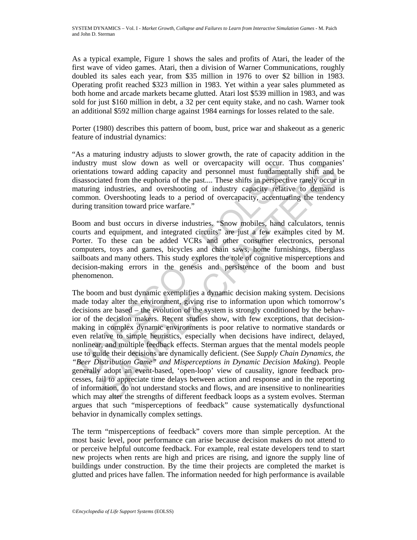As a typical example, Figure 1 shows the sales and profits of Atari, the leader of the first wave of video games. Atari, then a division of Warner Communications, roughly doubled its sales each year, from \$35 million in 1976 to over \$2 billion in 1983. Operating profit reached \$323 million in 1983. Yet within a year sales plummeted as both home and arcade markets became glutted. Atari lost \$539 million in 1983, and was sold for just \$160 million in debt, a 32 per cent equity stake, and no cash. Warner took an additional \$592 million charge against 1984 earnings for losses related to the sale.

Porter (1980) describes this pattern of boom, bust, price war and shakeout as a generic feature of industrial dynamics:

"As a maturing industry adjusts to slower growth, the rate of capacity addition in the industry must slow down as well or overcapacity will occur. Thus companies' orientations toward adding capacity and personnel must fundamentally shift and be disassociated from the euphoria of the past.... These shifts in perspective rarely occur in maturing industries, and overshooting of industry capacity relative to demand is common. Overshooting leads to a period of overcapacity, accentuating the tendency during transition toward price warfare."

Boom and bust occurs in diverse industries. "Snow mobiles, hand calculators, tennis courts and equipment, and integrated circuits" are just a few examples cited by M. Porter. To these can be added VCRs and other consumer electronics, personal computers, toys and games, bicycles and chain saws, home furnishings, fiberglass sailboats and many others. This study explores the role of cognitive misperceptions and decision-making errors in the genesis and persistence of the boom and bust phenomenon.

moment stow down as well or overcapactly will occur. I<br>trientations toward adding capacity and personel must fundamental<br>isassociated from the euphoria of the past... These shifts in perspectiv<br>aturing industries, and over must slow down as well or overagnacity will occur. Thus companies<br>must slow down as wound adding capacity and personnel must fundamentally shift and t<br>ated from the euphoria of the past.... These shifts in perspective rar The boom and bust dynamic exemplifies a dynamic decision making system. Decisions made today alter the environment, giving rise to information upon which tomorrow's decisions are based – the evolution of the system is strongly conditioned by the behavior of the decision makers. Recent studies show, with few exceptions, that decisionmaking in complex dynamic environments is poor relative to normative standards or even relative to simple heuristics, especially when decisions have indirect, delayed, nonlinear, and multiple feedback effects. Sterman argues that the mental models people use to guide their decisions are dynamically deficient. (See *Supply Chain Dynamics*, *the "Beer Distribution Game" and Misperceptions in Dynamic Decision Making*). People generally adopt an event-based, 'open-loop' view of causality, ignore feedback processes, fail to appreciate time delays between action and response and in the reporting of information, do not understand stocks and flows, and are insensitive to nonlinearities which may alter the strengths of different feedback loops as a system evolves. Sterman argues that such "misperceptions of feedback" cause systematically dysfunctional behavior in dynamically complex settings.

 The term "misperceptions of feedback" covers more than simple perception. At the most basic level, poor performance can arise because decision makers do not attend to or perceive helpful outcome feedback. For example, real estate developers tend to start new projects when rents are high and prices are rising, and ignore the supply line of buildings under construction. By the time their projects are completed the market is glutted and prices have fallen. The information needed for high performance is available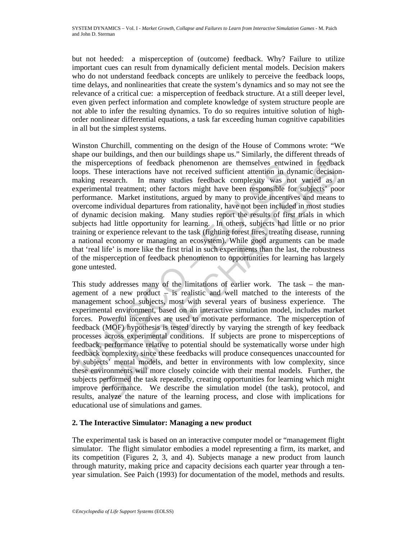but not heeded: a misperception of (outcome) feedback. Why? Failure to utilize important cues can result from dynamically deficient mental models. Decision makers who do not understand feedback concepts are unlikely to perceive the feedback loops, time delays, and nonlinearities that create the system's dynamics and so may not see the relevance of a critical cue: a misperception of feedback structure. At a still deeper level, even given perfect information and complete knowledge of system structure people are not able to infer the resulting dynamics. To do so requires intuitive solution of highorder nonlinear differential equations, a task far exceeding human cognitive capabilities in all but the simplest systems.

ie missierceptions of reedback phenomenon are themselves entwindent<br>ones. These interactions have not received sufficient attention in dy<br>akking research. In many studies feedback complexity was necessimely<br>regrimental tre Winston Churchill, commenting on the design of the House of Commons wrote: "We shape our buildings, and then our buildings shape us." Similarly, the different threads of the misperceptions of feedback phenomenon are themselves entwined in feedback loops. These interactions have not received sufficient attention in dynamic decisionmaking research. In many studies feedback complexity was not varied as an experimental treatment; other factors might have been responsible for subjects' poor performance. Market institutions, argued by many to provide incentives and means to overcome individual departures from rationality, have not been included in most studies of dynamic decision making. Many studies report the results of first trials in which subjects had little opportunity for learning. In others, subjects had little or no prior training or experience relevant to the task (fighting forest fires, treating disease, running a national economy or managing an ecosystem). While good arguments can be made that 'real life' is more like the first trial in such experiments than the last, the robustness of the misperception of feedback phenomenon to opportunities for learning has largely gone untested.

precreptions of reedback phenomenon are then<br>selves entwined in feedback phenomenon are these entered enter these enter<br>attents. In many studies feedback complexity was not varied as a<br>research. In many studies feedback co This study addresses many of the limitations of earlier work. The task – the management of a new product  $-$  is realistic and well matched to the interests of the management school subjects, most with several years of business experience. The experimental environment, based on an interactive simulation model, includes market forces. Powerful incentives are used to motivate performance. The misperception of feedback (MOF) hypothesis is tested directly by varying the strength of key feedback processes across experimental conditions. If subjects are prone to misperceptions of feedback, performance relative to potential should be systematically worse under high feedback complexity, since these feedbacks will produce consequences unaccounted for by subjects' mental models, and better in environments with low complexity, since these environments will more closely coincide with their mental models. Further, the subjects performed the task repeatedly, creating opportunities for learning which might improve performance. We describe the simulation model (the task), protocol, and results, analyze the nature of the learning process, and close with implications for educational use of simulations and games.

## **2. The Interactive Simulator: Managing a new product**

 The experimental task is based on an interactive computer model or "management flight simulator. The flight simulator embodies a model representing a firm, its market, and its competition (Figures 2, 3, and 4). Subjects manage a new product from launch through maturity, making price and capacity decisions each quarter year through a tenyear simulation. See Paich (1993) for documentation of the model, methods and results.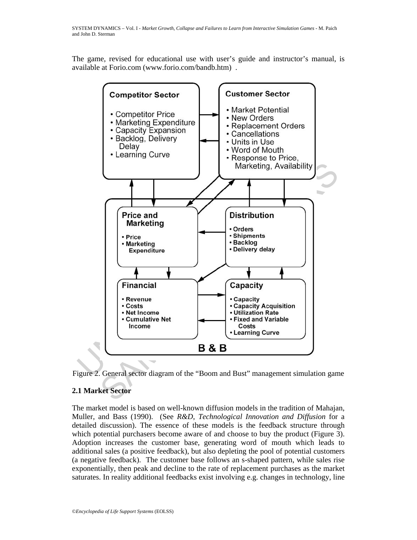The game, revised for educational use with user's guide and instructor's manual, is available at Forio.com (www.forio.com/bandb.htm) .



Figure 2. General sector diagram of the "Boom and Bust" management simulation game

# **2.1 Market Sector**

The market model is based on well-known diffusion models in the tradition of Mahajan, Muller, and Bass (1990). (See *R&D*, *Technological Innovation and Diffusion* for a detailed discussion). The essence of these models is the feedback structure through which potential purchasers become aware of and choose to buy the product (Figure 3). Adoption increases the customer base, generating word of mouth which leads to additional sales (a positive feedback), but also depleting the pool of potential customers (a negative feedback). The customer base follows an s-shaped pattern, while sales rise exponentially, then peak and decline to the rate of replacement purchases as the market saturates. In reality additional feedbacks exist involving e.g. changes in technology, line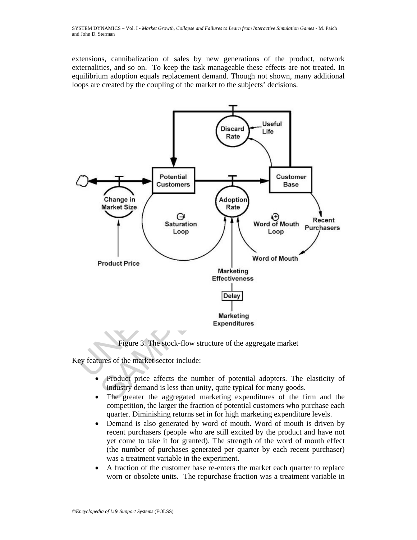extensions, cannibalization of sales by new generations of the product, network externalities, and so on. To keep the task manageable these effects are not treated. In equilibrium adoption equals replacement demand. Though not shown, many additional loops are created by the coupling of the market to the subjects' decisions.



Figure 3. The stock-flow structure of the aggregate market

Key features of the market sector include:

- Product price affects the number of potential adopters. The elasticity of industry demand is less than unity, quite typical for many goods.
- The greater the aggregated marketing expenditures of the firm and the competition, the larger the fraction of potential customers who purchase each quarter. Diminishing returns set in for high marketing expenditure levels.
- Demand is also generated by word of mouth. Word of mouth is driven by recent purchasers (people who are still excited by the product and have not yet come to take it for granted). The strength of the word of mouth effect (the number of purchases generated per quarter by each recent purchaser) was a treatment variable in the experiment.
- A fraction of the customer base re-enters the market each quarter to replace worn or obsolete units. The repurchase fraction was a treatment variable in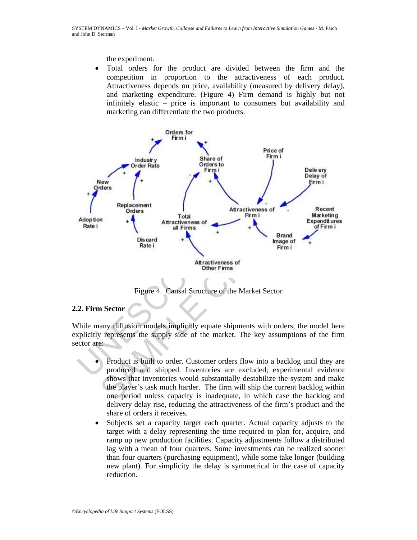the experiment.

• Total orders for the product are divided between the firm and the competition in proportion to the attractiveness of each product. Attractiveness depends on price, availability (measured by delivery delay), and marketing expenditure. (Figure 4) Firm demand is highly but not infinitely elastic – price is important to consumers but availability and marketing can differentiate the two products.



Figure 4. Causal Structure of the Market Sector

## **2.2. Firm Sector**

 While many diffusion models implicitly equate shipments with orders, the model here explicitly represents the supply side of the market. The key assumptions of the firm sector are:

- Product is built to order. Customer orders flow into a backlog until they are produced and shipped. Inventories are excluded; experimental evidence shows that inventories would substantially destabilize the system and make the player's task much harder. The firm will ship the current backlog within one period unless capacity is inadequate, in which case the backlog and delivery delay rise, reducing the attractiveness of the firm's product and the share of orders it receives.
- Subjects set a capacity target each quarter. Actual capacity adjusts to the target with a delay representing the time required to plan for, acquire, and ramp up new production facilities. Capacity adjustments follow a distributed lag with a mean of four quarters. Some investments can be realized sooner than four quarters (purchasing equipment), while some take longer (building new plant). For simplicity the delay is symmetrical in the case of capacity reduction.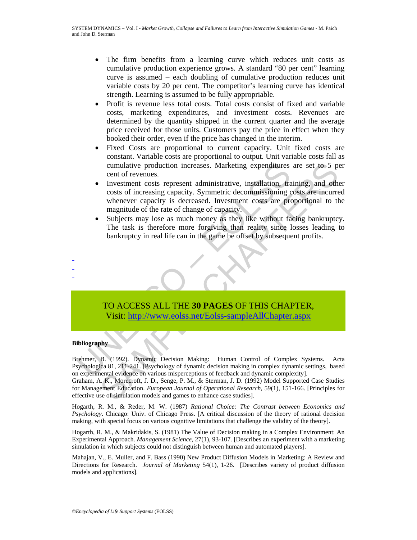- The firm benefits from a learning curve which reduces unit costs as cumulative production experience grows. A standard "80 per cent" learning curve is assumed – each doubling of cumulative production reduces unit variable costs by 20 per cent. The competitor's learning curve has identical strength. Learning is assumed to be fully appropriable.
- Profit is revenue less total costs. Total costs consist of fixed and variable costs, marketing expenditures, and investment costs. Revenues are determined by the quantity shipped in the current quarter and the average price received for those units. Customers pay the price in effect when they booked their order, even if the price has changed in the interim.
- Fixed Costs are proportional to current capacity. Unit fixed costs are constant. Variable costs are proportional to output. Unit variable costs fall as cumulative production increases. Marketing expenditures are set to 5 per cent of revenues.
- cumulative production increases. Marketing expenditures<br>
cent of revenues.<br>
Investment costs represent administrative, installation, tra<br>
costs of increasing capacity. Symmetric decommissioning c<br>
whenever capacity is decr cumulative production increases. Marketing expenditures are set to 5 per ent of revenues.<br>
Threstment costs represent administrative, installation, training, and other<br>
costs of increasing capacity. Symmetric decommissioni • Investment costs represent administrative, installation, training, and other costs of increasing capacity. Symmetric decommissioning costs are incurred whenever capacity is decreased. Investment costs are proportional to the magnitude of the rate of change of capacity.
	- Subjects may lose as much money as they like without facing bankruptcy. The task is therefore more forgiving than reality since losses leading to bankruptcy in real life can in the game be offset by subsequent profits.



### **Bibliography**

- - -

Brehmer, B. (1992). Dynamic Decision Making: Human Control of Complex Systems. Acta Psychologica 81, 211-241. [Psychology of dynamic decision making in complex dynamic settings, based on experimental evidence on various misperceptions of feedback and dynamic complexity].

Graham, A. K., Morecroft, J. D., Senge, P. M., & Sterman, J. D. (1992) Model Supported Case Studies for Management Education. *European Journal of Operational Research*, 59(1), 151-166. [Principles for effective use of simulation models and games to enhance case studies].

Hogarth, R. M., & Reder, M. W. (1987) *Rational Choice: The Contrast between Economics and Psychology*. Chicago: Univ. of Chicago Press. [A critical discussion of the theory of rational decision making, with special focus on various cognitive limitations that challenge the validity of the theory].

Hogarth, R. M., & Makridakis, S. (1981) The Value of Decision making in a Complex Environment: An Experimental Approach. *Management Science*, 27(1), 93-107. [Describes an experiment with a marketing simulation in which subjects could not distinguish between human and automated players].

Mahajan, V., E. Muller, and F. Bass (1990) New Product Diffusion Models in Marketing: A Review and Directions for Research. *Journal of Marketing* 54(1), 1-26. [Describes variety of product diffusion models and applications].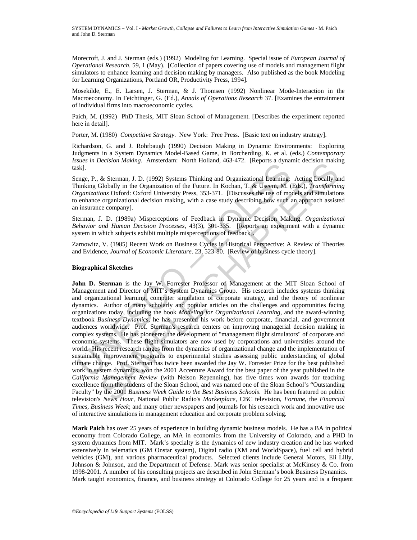Morecroft, J. and J. Sterman (eds.) (1992) Modeling for Learning. Special issue of *European Journal of Operational Research*. 59, 1 (May). [Collection of papers covering use of models and management flight simulators to enhance learning and decision making by managers. Also published as the book Modeling for Learning Organizations, Portland OR, Productivity Press, 1994].

Mosekilde, E., E. Larsen, J. Sterman, & J. Thomsen (1992) Nonlinear Mode-Interaction in the Macroeconomy. In Feichtinger, G. (Ed.), *Annals of Operations Research* 37. [Examines the entrainment of individual firms into macroeconomic cycles.

Paich, M. (1992) PhD Thesis, MIT Sloan School of Management. [Describes the experiment reported here in detail].

Porter, M. (1980) *Competitive Strategy*. New York: Free Press. [Basic text on industry strategy].

Richardson, G. and J. Rohrbaugh (1990) Decision Making in Dynamic Environments: Exploring Judgments in a System Dynamics Model-Based Game, in Borcherding, K. et al. (eds.) *Contemporary Issues in Decision Making*.Amsterdam: North Holland, 463-472. [Reports a dynamic decision making task].

Senge, P., & Sterman, J. D. (1992) Systems Thinking and Organizational Learning: Acting Locally and Thinking Globally in the Organization of the Future. In Kochan, T. & Useem, M. (Eds.), *Transforming Organizations* Oxford: Oxford University Press, 353-371. [Discusses the use of models and simulations to enhance organizational decision making, with a case study describing how such an approach assisted an insurance company].

Sterman, J. D. (1989a) Misperceptions of Feedback in Dynamic Decision Making. *Organizational Behavior and Human Decision Processes*, 43(3), 301-335. [Reports an experiment with a dynamic system in which subjects exhibit multiple misperceptions of feedback].

Zarnowitz, V. (1985) Recent Work on Business Cycles in Historical Perspective: A Review of Theories and Evidence, *Journal of Economic Literature*. 23, 523-80. [Review of business cycle theory].

#### **Biographical Sketches**

The Real of Management and Director of Many Corel and Organizational Learning<br>
Sk].<br>
Sk].<br>
Sk].<br>
Sk].<br>
Sk].<br>
Sk].<br>
Sk[Sterman, J. D. (1992) Systems Thinking and Organizational Learning:<br>
Implications Oxford: Oxford Univers Fetsion mutung. Finisterian: Totul initiality, 403-472; [Repots a dynamic decision makin<br>
& Sterman, J. D. (1992) Systems Thinking and Organizational Learning: Acting Locally at<br>
Eibolah) in the Organization of the Future. **John D. Sterman** is the Jay W. Forrester Professor of Management at the MIT Sloan School of Management and Director of MIT's System Dynamics Group. His research includes systems thinking and organizational learning, computer simulation of corporate strategy, and the theory of nonlinear dynamics. Author of many scholarly and popular articles on the challenges and opportunities facing organizations today, including the book *Modeling for Organizational Learning*, and the award-winning textbook *Business Dynamics*, he has presented his work before corporate, financial, and government audiences worldwide. Prof. Sterman's research centers on improving managerial decision making in complex systems. He has pioneered the development of "management flight simulators" of corporate and economic systems. These flight simulators are now used by corporations and universities around the world. His recent research ranges from the dynamics of organizational change and the implementation of sustainable improvement programs to experimental studies assessing public understanding of global climate change. Prof. Sterman has twice been awarded the Jay W. Forrester Prize for the best published work in system dynamics, won the 2001 Accenture Award for the best paper of the year published in the *California Management Review* (with Nelson Repenning), has five times won awards for teaching excellence from the students of the Sloan School, and was named one of the Sloan School's "Outstanding Faculty" by the 2001 *Business Week Guide to the Best Business Schools*. He has been featured on public television's *News Hour*, National Public Radio's *Marketplace*, CBC television, *Fortune*, the *Financial Times*, *Business Week*; and many other newspapers and journals for his research work and innovative use of interactive simulations in management education and corporate problem solving.

**Mark Paich** has over 25 years of experience in building dynamic business models. He has a BA in political economy from Colorado College, an MA in economics from the University of Colorado, and a PHD in system dynamics from MIT. Mark's specialty is the dynamics of new industry creation and he has worked extensively in telematics (GM Onstar system), Digital radio (XM and WorldSpace), fuel cell and hybrid vehicles (GM), and various pharmaceutical products. Selected clients include General Motors, Eli Lilly, Johnson & Johnson, and the Department of Defense. Mark was senior specialist at McKinsey & Co. from 1998-2001. A number of his consulting projects are described in John Sterman's book Business Dynamics. Mark taught economics, finance, and business strategy at Colorado College for 25 years and is a frequent